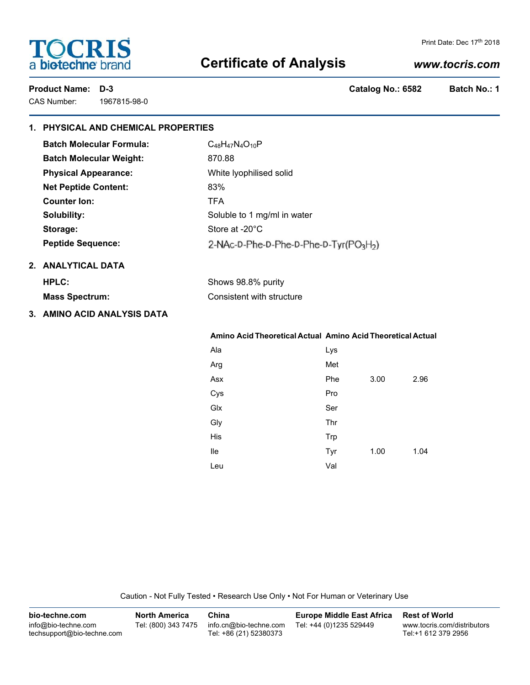# **TOCRIS** a biotechne brand

#### Print Date: Dec 17th 2018

# **Certificate of Analysis**

# *www.tocris.com*

CAS Number: 1967815-98-0

**Product Name: D-3 Catalog No.: 6582 Batch No.: 1**

# **1. PHYSICAL AND CHEMICAL PROPERTIES Batch Molecular Formula:** C<sub>48</sub>H<sub>47</sub>N<sub>4</sub>O<sub>10</sub>P **Batch Molecular Weight:** 870.88 **Physical Appearance:** White lyophilised solid **Net Peptide Content:** 83% **Counter Ion:** TFA **Solubility:** Soluble to 1 mg/ml in water Storage: Storage: Store at -20<sup>°</sup>C **Peptide Sequence:** 2-NAc-D-Phe-D-Phe-D-Phe-D-Tyr(PO<sub>3</sub>H<sub>2</sub>) **2. ANALYTICAL DATA HPLC:** Shows 98.8% purity **Mass Spectrum:** Consistent with structure **3. AMINO ACID ANALYSIS DATA**

# **Amino Acid Theoretical Actual Amino Acid Theoretical Actual**

| Ala | Lys |      |      |
|-----|-----|------|------|
| Arg | Met |      |      |
| Asx | Phe | 3.00 | 2.96 |
| Cys | Pro |      |      |
| Glx | Ser |      |      |
| Gly | Thr |      |      |
| His | Trp |      |      |
| lle | Tyr | 1.00 | 1.04 |
| Leu | Val |      |      |

Caution - Not Fully Tested • Research Use Only • Not For Human or Veterinary Use

| bio-techne.com                                    | <b>North America</b> | China                                            | <b>Europe Middle East Africa</b> | <b>Rest of World</b>                               |
|---------------------------------------------------|----------------------|--------------------------------------------------|----------------------------------|----------------------------------------------------|
| info@bio-techne.com<br>techsupport@bio-techne.com | Tel: (800) 343 7475  | info.cn@bio-techne.com<br>Tel: +86 (21) 52380373 | Tel: +44 (0)1235 529449          | www.tocris.com/distributors<br>Tel:+1 612 379 2956 |